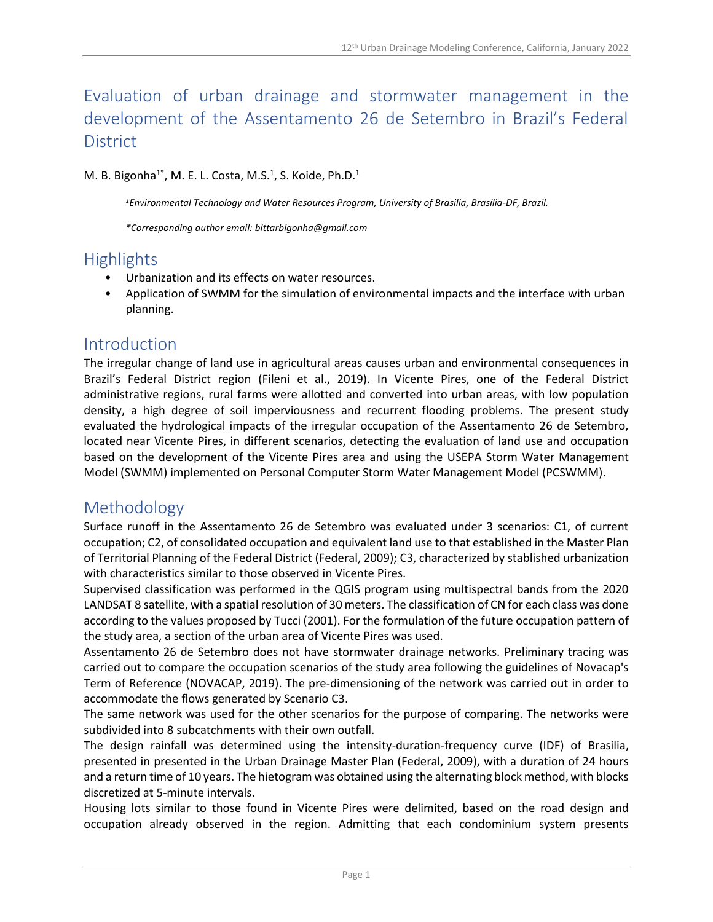# Evaluation of urban drainage and stormwater management in the development of the Assentamento 26 de Setembro in Brazil's Federal **District**

M. B. Bigonha<sup>1\*</sup>, M. E. L. Costa, M.S.<sup>1</sup>, S. Koide, Ph.D.<sup>1</sup>

*<sup>1</sup>Environmental Technology and Water Resources Program, University of Brasilia, Brasília-DF, Brazil.*

*\*Corresponding author email: bittarbigonha@gmail.com*

### Highlights

- Urbanization and its effects on water resources.
- Application of SWMM for the simulation of environmental impacts and the interface with urban planning.

#### Introduction

The irregular change of land use in agricultural areas causes urban and environmental consequences in Brazil's Federal District region (Fileni et al., 2019). In Vicente Pires, one of the Federal District administrative regions, rural farms were allotted and converted into urban areas, with low population density, a high degree of soil imperviousness and recurrent flooding problems. The present study evaluated the hydrological impacts of the irregular occupation of the Assentamento 26 de Setembro, located near Vicente Pires, in different scenarios, detecting the evaluation of land use and occupation based on the development of the Vicente Pires area and using the USEPA Storm Water Management Model (SWMM) implemented on Personal Computer Storm Water Management Model (PCSWMM).

#### Methodology

Surface runoff in the Assentamento 26 de Setembro was evaluated under 3 scenarios: C1, of current occupation; C2, of consolidated occupation and equivalent land use to that established in the Master Plan of Territorial Planning of the Federal District (Federal, 2009); C3, characterized by stablished urbanization with characteristics similar to those observed in Vicente Pires.

Supervised classification was performed in the QGIS program using multispectral bands from the 2020 LANDSAT 8 satellite, with a spatial resolution of 30 meters. The classification of CN for each class was done according to the values proposed by Tucci (2001). For the formulation of the future occupation pattern of the study area, a section of the urban area of Vicente Pires was used.

Assentamento 26 de Setembro does not have stormwater drainage networks. Preliminary tracing was carried out to compare the occupation scenarios of the study area following the guidelines of Novacap's Term of Reference (NOVACAP, 2019). The pre-dimensioning of the network was carried out in order to accommodate the flows generated by Scenario C3.

The same network was used for the other scenarios for the purpose of comparing. The networks were subdivided into 8 subcatchments with their own outfall.

The design rainfall was determined using the intensity-duration-frequency curve (IDF) of Brasilia, presented in presented in the Urban Drainage Master Plan (Federal, 2009), with a duration of 24 hours and a return time of 10 years. The hietogram was obtained using the alternating block method, with blocks discretized at 5-minute intervals.

Housing lots similar to those found in Vicente Pires were delimited, based on the road design and occupation already observed in the region. Admitting that each condominium system presents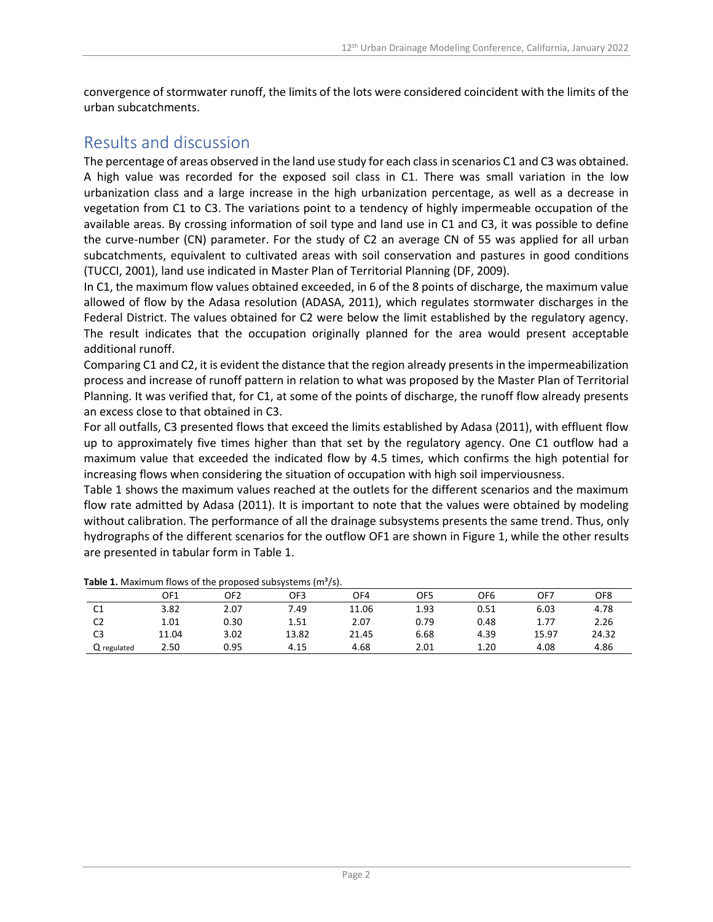convergence of stormwater runoff, the limits of the lots were considered coincident with the limits of the urban subcatchments.

## Results and discussion

The percentage of areas observed in the land use study for each class in scenarios C1 and C3 was obtained. A high value was recorded for the exposed soil class in C1. There was small variation in the low urbanization class and a large increase in the high urbanization percentage, as well as a decrease in vegetation from C1 to C3. The variations point to a tendency of highly impermeable occupation of the available areas. By crossing information of soil type and land use in C1 and C3, it was possible to define the curve-number (CN) parameter. For the study of C2 an average CN of 55 was applied for all urban subcatchments, equivalent to cultivated areas with soil conservation and pastures in good conditions (TUCCI, 2001), land use indicated in Master Plan of Territorial Planning (DF, 2009).

In C1, the maximum flow values obtained exceeded, in 6 of the 8 points of discharge, the maximum value allowed of flow by the Adasa resolution (ADASA, 2011), which regulates stormwater discharges in the Federal District. The values obtained for C2 were below the limit established by the regulatory agency. The result indicates that the occupation originally planned for the area would present acceptable additional runoff.

Comparing C1 and C2, it is evident the distance that the region already presents in the impermeabilization process and increase of runoff pattern in relation to what was proposed by the Master Plan of Territorial Planning. It was verified that, for C1, at some of the points of discharge, the runoff flow already presents an excess close to that obtained in C3.

For all outfalls, C3 presented flows that exceed the limits established by Adasa (2011), with effluent flow up to approximately five times higher than that set by the regulatory agency. One C1 outflow had a maximum value that exceeded the indicated flow by 4.5 times, which confirms the high potential for increasing flows when considering the situation of occupation with high soil imperviousness.

Table 1 shows the maximum values reached at the outlets for the different scenarios and the maximum flow rate admitted by Adasa (2011). It is important to note that the values were obtained by modeling without calibration. The performance of all the drainage subsystems presents the same trend. Thus, only hydrographs of the different scenarios for the outflow OF1 are shown in Figure 1, while the other results are presented in tabular form in Table 1.

|                | OF1   | OF2  | OF3   | OF4   | OF5  | OF6  | OF7   | OF8   |
|----------------|-------|------|-------|-------|------|------|-------|-------|
| C1             | 3.82  | 2.07 | 7.49  | 11.06 | 1.93 | 0.51 | 6.03  | 4.78  |
| C <sub>2</sub> | 1.01  | 0.30 | 1.51  | 2.07  | 0.79 | 0.48 | 1.77  | 2.26  |
| C3             | 11.04 | 3.02 | 13.82 | 21.45 | 6.68 | 4.39 | 15.97 | 24.32 |
| Q regulated    | 2.50  | 0.95 | 4.15  | 4.68  | 2.01 | 1.20 | 4.08  | 4.86  |

**Table 1.** Maximum flows of the proposed subsystems (m<sup>3</sup>/s).